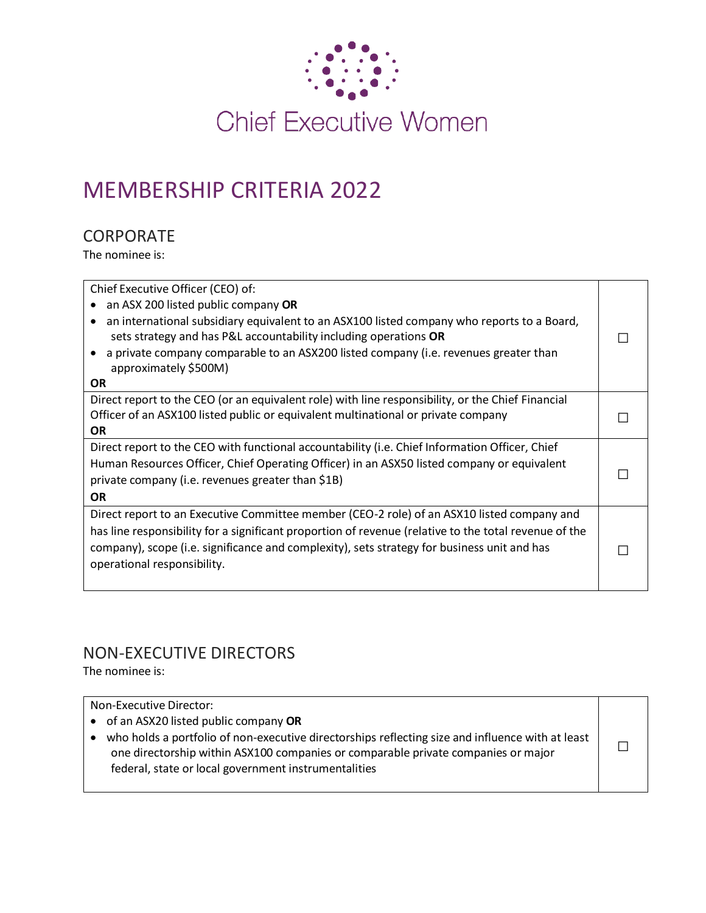

# MEMBERSHIP CRITERIA 2022

# **CORPORATE**

The nominee is:

| Chief Executive Officer (CEO) of:                                                                     |  |
|-------------------------------------------------------------------------------------------------------|--|
| an ASX 200 listed public company OR                                                                   |  |
| an international subsidiary equivalent to an ASX100 listed company who reports to a Board,            |  |
| sets strategy and has P&L accountability including operations OR                                      |  |
| a private company comparable to an ASX200 listed company (i.e. revenues greater than                  |  |
| approximately \$500M)                                                                                 |  |
| <b>OR</b>                                                                                             |  |
| Direct report to the CEO (or an equivalent role) with line responsibility, or the Chief Financial     |  |
| Officer of an ASX100 listed public or equivalent multinational or private company                     |  |
| <b>OR</b>                                                                                             |  |
| Direct report to the CEO with functional accountability (i.e. Chief Information Officer, Chief        |  |
| Human Resources Officer, Chief Operating Officer) in an ASX50 listed company or equivalent            |  |
| private company (i.e. revenues greater than \$1B)                                                     |  |
| <b>OR</b>                                                                                             |  |
| Direct report to an Executive Committee member (CEO-2 role) of an ASX10 listed company and            |  |
| has line responsibility for a significant proportion of revenue (relative to the total revenue of the |  |
| company), scope (i.e. significance and complexity), sets strategy for business unit and has           |  |
| operational responsibility.                                                                           |  |
|                                                                                                       |  |
|                                                                                                       |  |

# NON-EXECUTIVE DIRECTORS

The nominee is:

| Non-Executive Director:<br>• of an ASX20 listed public company OR                                                                                                                                                                                          |
|------------------------------------------------------------------------------------------------------------------------------------------------------------------------------------------------------------------------------------------------------------|
| who holds a portfolio of non-executive directorships reflecting size and influence with at least<br>$\bullet$<br>one directorship within ASX100 companies or comparable private companies or major<br>federal, state or local government instrumentalities |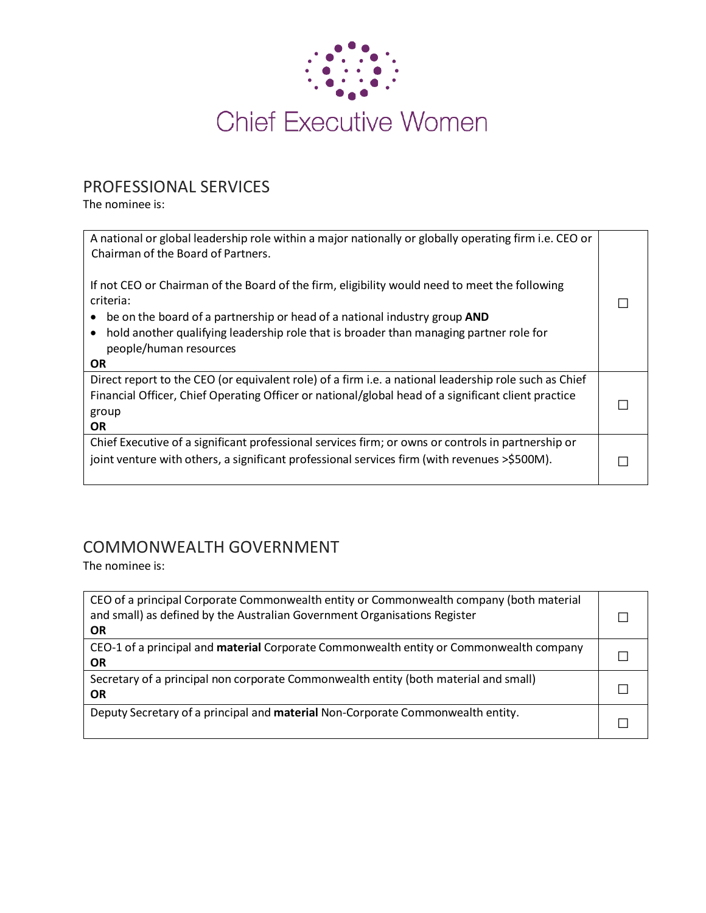

# PROFESSIONAL SERVICES

The nominee is:

| A national or global leadership role within a major nationally or globally operating firm i.e. CEO or<br>Chairman of the Board of Partners. |  |
|---------------------------------------------------------------------------------------------------------------------------------------------|--|
| If not CEO or Chairman of the Board of the firm, eligibility would need to meet the following<br>criteria:                                  |  |
| be on the board of a partnership or head of a national industry group AND                                                                   |  |
| hold another qualifying leadership role that is broader than managing partner role for<br>$\bullet$                                         |  |
| people/human resources                                                                                                                      |  |
| OR.                                                                                                                                         |  |
| Direct report to the CEO (or equivalent role) of a firm i.e. a national leadership role such as Chief                                       |  |
| Financial Officer, Chief Operating Officer or national/global head of a significant client practice                                         |  |
| group                                                                                                                                       |  |
| <b>OR</b>                                                                                                                                   |  |
| Chief Executive of a significant professional services firm; or owns or controls in partnership or                                          |  |
| joint venture with others, a significant professional services firm (with revenues >\$500M).                                                |  |
|                                                                                                                                             |  |

# COMMONWEALTH GOVERNMENT

The nominee is:

| CEO of a principal Corporate Commonwealth entity or Commonwealth company (both material<br>and small) as defined by the Australian Government Organisations Register<br>OR |  |
|----------------------------------------------------------------------------------------------------------------------------------------------------------------------------|--|
| CEO-1 of a principal and <b>material</b> Corporate Commonwealth entity or Commonwealth company<br>OR                                                                       |  |
| Secretary of a principal non corporate Commonwealth entity (both material and small)<br><b>OR</b>                                                                          |  |
| Deputy Secretary of a principal and material Non-Corporate Commonwealth entity.                                                                                            |  |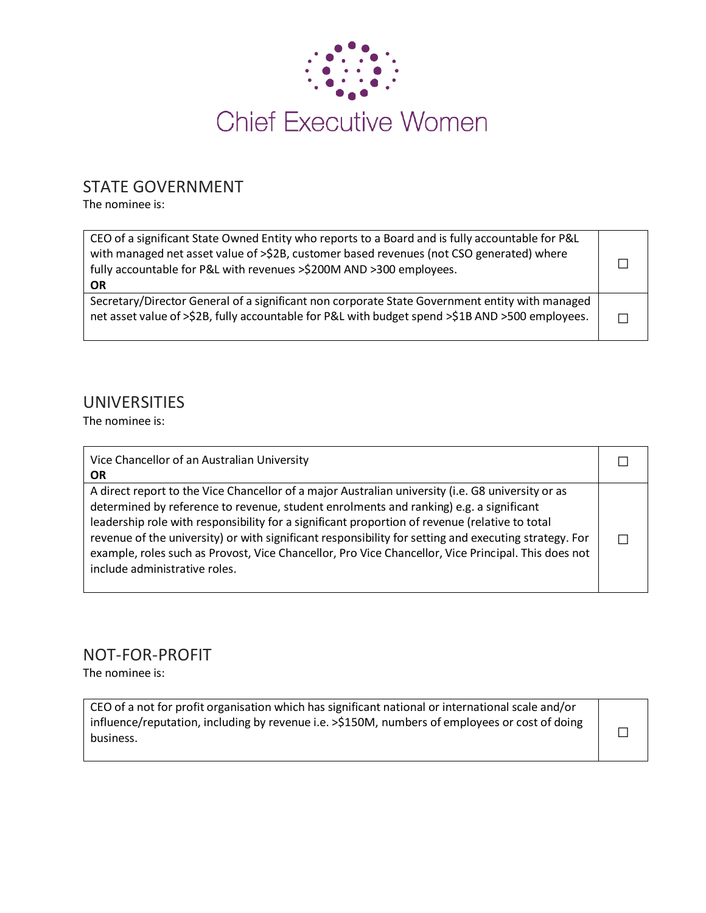

# STATE GOVERNMENT

The nominee is:

| CEO of a significant State Owned Entity who reports to a Board and is fully accountable for P&L<br>with managed net asset value of >\$2B, customer based revenues (not CSO generated) where<br>fully accountable for P&L with revenues >\$200M AND >300 employees.<br><b>OR</b> |  |
|---------------------------------------------------------------------------------------------------------------------------------------------------------------------------------------------------------------------------------------------------------------------------------|--|
| Secretary/Director General of a significant non corporate State Government entity with managed<br>net asset value of >\$2B, fully accountable for P&L with budget spend >\$1B AND >500 employees.                                                                               |  |

## UNIVERSITIES

The nominee is:

| Vice Chancellor of an Australian University<br><b>OR</b>                                                                                                                                                                                                                                                                                                                                                                                                                                                                                       |  |
|------------------------------------------------------------------------------------------------------------------------------------------------------------------------------------------------------------------------------------------------------------------------------------------------------------------------------------------------------------------------------------------------------------------------------------------------------------------------------------------------------------------------------------------------|--|
| A direct report to the Vice Chancellor of a major Australian university (i.e. G8 university or as<br>determined by reference to revenue, student enrolments and ranking) e.g. a significant<br>leadership role with responsibility for a significant proportion of revenue (relative to total<br>revenue of the university) or with significant responsibility for setting and executing strategy. For<br>example, roles such as Provost, Vice Chancellor, Pro Vice Chancellor, Vice Principal. This does not<br>include administrative roles. |  |

### NOT-FOR-PROFIT

The nominee is:

CEO of a not for profit organisation which has significant national or international scale and/or influence/reputation, including by revenue i.e. >\$150M, numbers of employees or cost of doing  $\Box$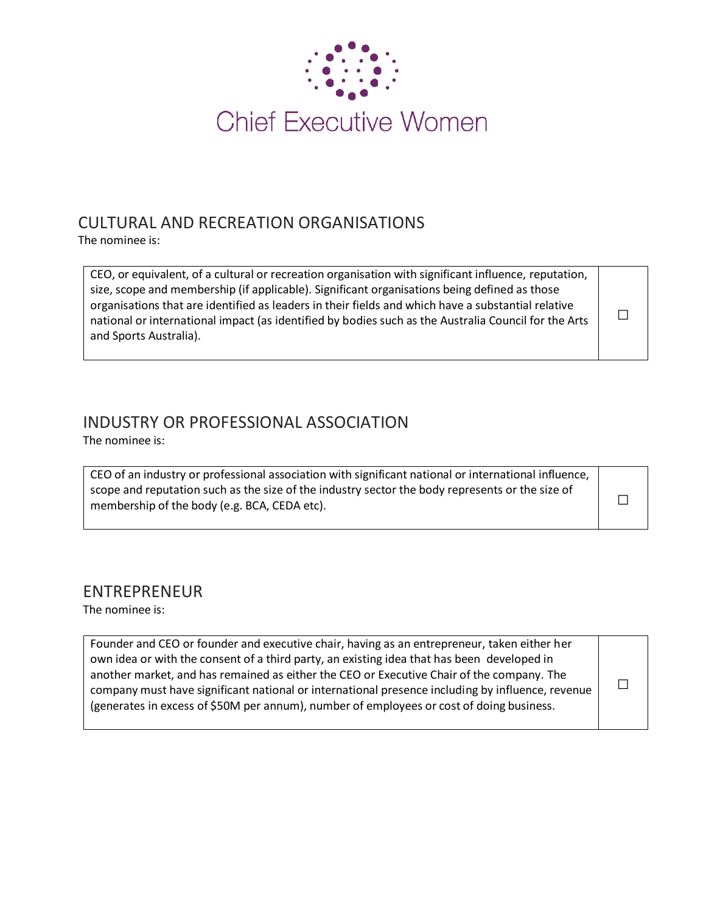

# CULTURAL AND RECREATION ORGANISATIONS

The nominee is:

CEO, or equivalent, of a cultural or recreation organisation with significant influence, reputation, size, scope and membership (if applicable). Significant organisations being defined as those organisations that are identified as leaders in their fields and which have a substantial relative national or international impact (as identified by bodies such as the Australia Council for the Arts and Sports Australia).

□

#### INDUSTRY OR PROFESSIONAL ASSOCIATION The nominee is:

CEO of an industry or professional association with significant national or international influence, scope and reputation such as the size of the industry sector the body represents or the size of  $\Box$ 

# ENTREPRENEUR

The nominee is:

| Founder and CEO or founder and executive chair, having as an entrepreneur, taken either her<br>own idea or with the consent of a third party, an existing idea that has been developed in<br>another market, and has remained as either the CEO or Executive Chair of the company. The<br>company must have significant national or international presence including by influence, revenue<br>(generates in excess of \$50M per annum), number of employees or cost of doing business. |
|----------------------------------------------------------------------------------------------------------------------------------------------------------------------------------------------------------------------------------------------------------------------------------------------------------------------------------------------------------------------------------------------------------------------------------------------------------------------------------------|
|----------------------------------------------------------------------------------------------------------------------------------------------------------------------------------------------------------------------------------------------------------------------------------------------------------------------------------------------------------------------------------------------------------------------------------------------------------------------------------------|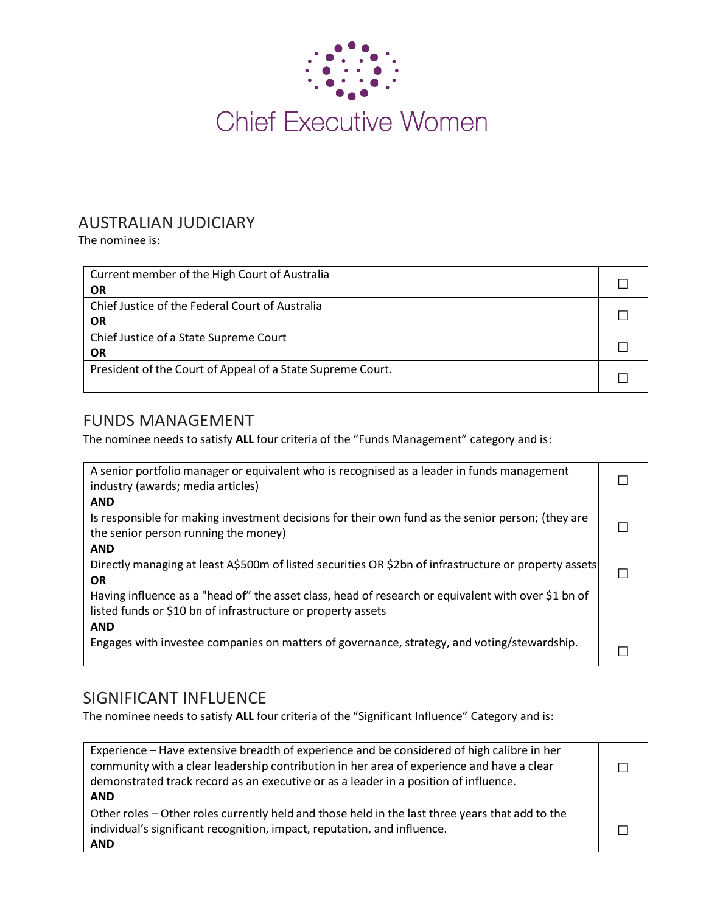

# AUSTRALIAN JUDICIARY

The nominee is:

| Current member of the High Court of Australia<br><b>OR</b>   |  |
|--------------------------------------------------------------|--|
| Chief Justice of the Federal Court of Australia<br><b>OR</b> |  |
| Chief Justice of a State Supreme Court<br><b>OR</b>          |  |
| President of the Court of Appeal of a State Supreme Court.   |  |

# FUNDS MANAGEMENT

The nominee needs to satisfy **ALL** four criteria of the "Funds Management" category and is:

| A senior portfolio manager or equivalent who is recognised as a leader in funds management<br>industry (awards; media articles)<br><b>AND</b>           |  |
|---------------------------------------------------------------------------------------------------------------------------------------------------------|--|
| Is responsible for making investment decisions for their own fund as the senior person; (they are<br>the senior person running the money)<br><b>AND</b> |  |
|                                                                                                                                                         |  |
| Directly managing at least A\$500m of listed securities OR \$2bn of infrastructure or property assets                                                   |  |
| <b>OR</b>                                                                                                                                               |  |
| Having influence as a "head of" the asset class, head of research or equivalent with over \$1 bn of                                                     |  |
| listed funds or \$10 bn of infrastructure or property assets                                                                                            |  |
| <b>AND</b>                                                                                                                                              |  |
| Engages with investee companies on matters of governance, strategy, and voting/stewardship.                                                             |  |

# SIGNIFICANT INFLUENCE

The nominee needs to satisfy **ALL** four criteria of the "Significant Influence" Category and is:

| Experience - Have extensive breadth of experience and be considered of high calibre in her<br>community with a clear leadership contribution in her area of experience and have a clear<br>demonstrated track record as an executive or as a leader in a position of influence.<br><b>AND</b> |  |
|-----------------------------------------------------------------------------------------------------------------------------------------------------------------------------------------------------------------------------------------------------------------------------------------------|--|
| Other roles – Other roles currently held and those held in the last three years that add to the<br>individual's significant recognition, impact, reputation, and influence.<br><b>AND</b>                                                                                                     |  |